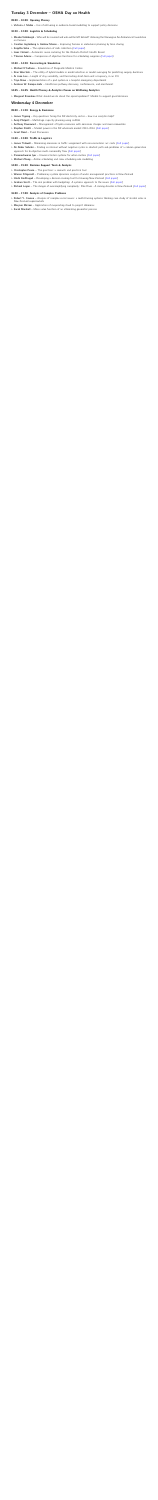#### <span id="page-0-0"></span>Tuesday 3 December – OSHA Day on Health

#### 09:00 – 10:00: Opening Plenary

 $\triangleright$  Victoria J. Mabin [– Use of reframing in evidence-based modelling to support policy decisions](#page-1-0)

#### 10:20 – 12:00: Logistics & Scheduling

- $\triangleright$  Maaike Vollebergh  [Who will be covered and who will be left behind? Advising the Norwegian Air Ambulance Foundation](#page-2-0) [on fairness](#page-2-0)
- $\triangleright$  Caroline Jagtenberg & Andrew Mason  [Improving fairness in ambulance planning by time sharing](#page-2-1)
- $\triangleright$  Snigdha Saha  [The optimisation of milk collection](#page-2-2) [\(Full paper\)](http://orsnz.org.nz/Repository/CONF53/Papers/ORSNZ2019_paper_2.pdf)
- $\triangleright$  Isaac Cleland  [Automatic nurse rostering for the Waikato District Health Board](#page-2-3)
- $\triangleright$  Thomas Adams  [Comparison of objective functions for scheduling surgeries](#page-2-4) [\(Full paper\)](http://orsnz.org.nz/Repository/CONF53/Papers/ORSNZ2019_paper_8.pdf)

#### 12:40 – 14:20: Forecasting & Simulation

- $\triangleright$  Michael O'Sullivan  [Simulation of Dargaville Medical Centre](#page-3-0)
- $\triangleright$  Kian Wee Soh  [The utility of hybrid models in model selection or model averaging for predicting surgery durations](#page-3-1)
- $\triangleright$  Ai June Lau  [Length of stay variability, and forecasting short-term unit occupancy, in an ICU](#page-3-2)
- $\triangleright$  Toya Shaw  [Implementation of a pod system in a hospital emergency department](#page-3-3)
- $\triangleright$  Andreas W. Kempa-Liehr  [Healthcare pathway discovery, conformance, and enrichment](#page-3-4)

#### 14:45 – 16:45: Health Plenary & Analytics Forum on Wellbeing Analytics

 $\triangleright$  Margaret Brandeau [What should we do about the opioid epidemic? Models to support good decisions](#page-4-0)

#### Wednesday 4 December

#### 09:00 – 11:20: Energy & Emissions

- $\triangleright$  James Tipping  [Key questions facing the NZ electricity sector how can analytics help?](#page-5-0)
- $\triangleright$  Andy Philpott  [Multistage capacity planning using JuDGE](#page-5-1)
- $\triangleright$  Anthony Downward  [Management of hydro reservoirs with emissions charges and more renewables](#page-5-2)
- $\triangleright$  Stephen Poletti  [Market power in the NZ wholesale market 2010–2016](#page-5-3) [\(Full paper\)](http://orsnz.org.nz/Repository/CONF53/Papers/ORSNZ2019_paper_7.pdf)
- $\triangleright$  Grant Read  [Panel Discussion](#page-5-4)

#### 11:40 – 13:00: Traffic & Logistics

- $\triangleright$  James Tidswell  [Minimising emissions in traffic assignment with non-monotonic arc costs](#page-6-0) [\(Full paper\)](http://orsnz.org.nz/Repository/CONF53/Papers/ORSNZ2019_paper_10.pdf)
- $\triangleright$  Ali Akbar Sohrabi  [Finding an interval without negative cycles in shortest path sub-problems of a column generation](#page-6-1) [approach for bi-objective multi-commodity flow](#page-6-1) [\(Full paper\)](http://orsnz.org.nz/Repository/CONF53/Papers/ORSNZ2019_paper_17.pdf)
- $\triangleright$  Parameshwaran Iyer  [Universal locker systems for urban metros](#page-6-2) [\(Full paper\)](http://orsnz.org.nz/Repository/CONF53/Papers/ORSNZ2019_paper_21.pdf)
- $\triangleright$  Michael Zhang  [Airline scheduling and crew scheduling rule modelling](#page-6-3)

#### 14:00 – 15:40: Decision Support Tools & Analysis

- $\triangleright$  Christopher Peace  [The goal tree: a research and practical tool](#page-7-0)
- $\triangleright$  Warren Fitzgerald  [Preliminary system dynamics analysis of waste management practices in New Zealand](#page-7-1)
- $\triangleright$  Hrishi Kodthuguli  [Developing a decision making tool for Housing New Zealand](#page-7-2) [\(Full paper\)](http://orsnz.org.nz/Repository/CONF53/Papers/ORSNZ2019_paper_3.pdf)
- $\triangleright$  Graham Scott  [The real problem with budgeting: A systems approach to the issues](#page-7-3) [\(Full paper\)](http://orsnz.org.nz/Repository/CONF53/Papers/ORSNZ2019_paper_18.pdf)
- $\triangleright$  Richard Logan  [The danger of oversimplifying complexity: Pike River A mining disaster in New Zealand](#page-7-4) [\(Full paper\)](http://orsnz.org.nz/Repository/CONF53/Papers/ORSNZ2019_paper_20.pdf)

#### 16:00 – 17:00: Analysis of Complex Problems

- $\triangleright$  Robert Y. Cavana  [Analysis of complex social issues: a multi-framing systems thinking case study of alcohol sales in](#page-8-0) [New Zealand supermarkets](#page-8-0)
- $\triangleright$  Maryam Mirzaei  [Application of evaporating cloud to project dilemmas](#page-8-1)
- $\triangleright$  Sarah Marshall  [Mean value function of an alternating geometric process](#page-8-2)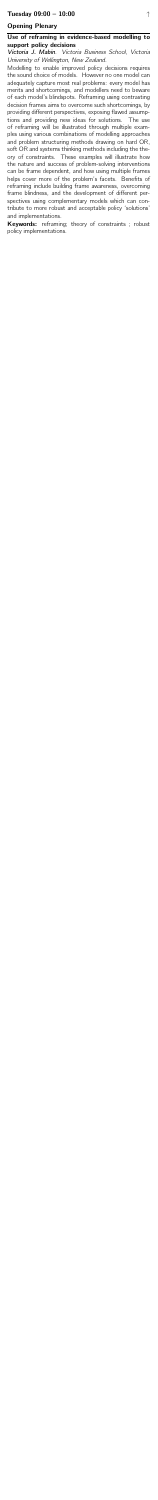## Opening Plenary

### <span id="page-1-0"></span>Use of reframing in evidence-based modelling to support policy decisions

Victoria J. Mabin. Victoria Business School, Victoria University of Wellington, New Zealand.

Modelling to enable improved policy decisions requires the sound choice of models. However no one model can adequately capture most real problems: every model has merits and shortcomings, and modellers need to beware of each model's blindspots. Reframing using contrasting decision frames aims to overcome such shortcomings, by providing different perspectives, exposing flawed assumptions and providing new ideas for solutions. The use of reframing will be illustrated through multiple examples using various combinations of modelling approaches and problem structuring methods drawing on hard OR, soft OR and systems thinking methods including the theory of constraints. These examples will illustrate how the nature and success of problem-solving interventions can be frame dependent, and how using multiple frames helps cover more of the problem's facets. Benefits of reframing include building frame awareness, overcoming frame blindness, and the development of different perspectives using complementary models which can contribute to more robust and acceptable policy 'solutions' and implementations.

Keywords: reframing; theory of constraints; robust policy implementations.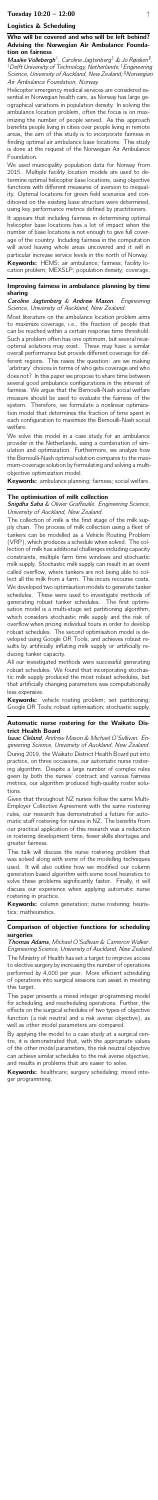# Logistics & Scheduling

### <span id="page-2-0"></span>Who will be covered and who will be left behind? Advising the Norwegian Air Ambulance Foundation on fairness

Maaike Vollebergh<sup>†</sup>, Caroline Jagtenberg<sup>‡</sup> & Jo Røislien<sup>#</sup>. †Delft University of Technology, Netherlands; ‡Engineering Science, University of Auckland, New Zealand; <sup>#</sup>Norwegian Air Ambulance Foundation, Norway.

Helicopter emergency medical services are considered essential in Norwegian health care, as Norway has large geographical variations in population density. In solving the ambulance location problem, often the focus is on maximizing the number of people served. As this approach benefits people living in cities over people living in remote areas, the aim of this study is to incorporate fairness in finding optimal air ambulance base locations. This study is done at the request of the Norwegian Air Ambulance Foundation.

It appears that including fairness in determining optimal helicopter base locations has a lot of impact when the number of base locations is not enough to give full coverage of the country. Including fairness in the computation will avoid leaving whole areas uncovered and it will in particular increase service levels in the north of Norway.

Keywords: HEMS; air ambulance; fairness; facility location problem; MEXSLP; population density; coverage.

We used municipality population data for Norway from 2015. Multiple facility location models are used to determine optimal helicopter base locations, using objective functions with different measures of aversion to inequality. Optimal locations for green field scenarios and conditioned on the existing base structure were determined, using key performance metrics defined by practitioners.

We solve this model in a case study for an ambulance provider in the Netherlands, using a combination of simulation and optimization. Furthermore, we analyze how the Bernoulli-Nash optimal solution compares to the maximum-coverage solution by formulating and solving a multiobjective optimization model.

Keywords: ambulance planning; fairness; social welfare.

## Snigdha Saha & Olivier Graffeuille. Engineering Science, University of Auckland, New Zealand.

## <span id="page-2-1"></span>Improving fairness in ambulance planning by time sharing

Caroline Jagtenberg & Andrew Mason. Engineering Science, University of Auckland, New Zealand.

Keywords: vehicle routing problem; set partitioning; Google OR Tools; robust optimisation; stochastic supply.

Most literature on the ambulance location problem aims to maximize coverage, i.e., the fraction of people that can be reached within a certain response time threshold. Such a problem often has one optimum, but several nearoptimal solutions may exist. These may have a similar overall performance but provide different coverage for different regions. This raises the question: are we making 'arbitrary' choices in terms of who gets coverage and who does not? In this paper we propose to share time between several good ambulance configurations in the interest of fairness. We argue that the Bernoulli-Nash social welfare measure should be used to evaluate the fairness of the system. Therefore, we formulate a nonlinear optimization model that determines the fraction of time spent in each configuration to maximize the Bernoulli-Nash social welfare.

Keywords: column generation; nurse rostering; heuristics; matheuristics.

### <span id="page-2-2"></span>The optimisation of milk collection

Keywords: healthcare; surgery scheduling; mixed integer programming.

The collection of milk is the first stage of the milk supply chain. The process of milk collection using a fleet of tankers can be modelled as a Vehicle Routing Problem (VRP), which produces a schedule when solved. The collection of milk has additional challenges including capacity constraints, multiple farm time windows and stochastic milk supply. Stochastic milk supply can result in an event called overflow, where tankers are not being able to collect all the milk from a farm. This incurs recourse costs. We developed two optimisation models to generate tanker schedules. These were used to investigate methods of generating robust tanker schedules. The first optimisation model is a multi-stage set partitioning algorithm, which considers stochastic milk supply and the risk of overflow when pricing individual tours in order to develop robust schedules. The second optimisation model is developed using Google OR Tools, and achieves robust results by artificially inflating milk supply or artificially reducing tanker capacity.

All our investigated methods were successful generating robust schedules. We found that incorporating stochastic milk supply produced the most robust schedules, but that artificially changing parameters was computationally less expensive.

## <span id="page-2-3"></span>Automatic nurse rostering for the Waikato District Health Board

Isaac Cleland, Andrew Mason & Michael O'Sullivan. Engineering Science, University of Auckland, New Zealand. During 2019, the Waikato District Health Board put into practice, on three occasions, our automatic nurse rostering algorithm. Despite a large number of complex rules given by both the nurses' contract and various fairness metrics, our algorithm produced high-quality roster solutions.

Given that throughout NZ nurses follow the same Multi-Employer Collective Agreement with the same rostering rules, our research has demonstrated a future for automatic staff rostering for nurses in NZ. The benefits from our practical application of this research was a reduction in rostering development time, fewer skills shortages and greater fairness. This talk will discuss the nurse rostering problem that was solved along with some of the modelling techniques used. It will also outline how we modified our column generation based algorithm with some novel heuristics to solve these problems significantly faster. Finally, it will discuss our experience when applying automatic nurse rostering in practice.

## <span id="page-2-4"></span>Comparison of objective functions for scheduling surgeries

Thomas Adams, Michael O'Sullivan & Cameron Walker. Engineering Science, University of Auckland, New Zealand.

The Ministry of Health has set a target to improve access to elective surgery by increasing the number of operations performed by 4,000 per year. More efficient scheduling of operations into surgical sessions can assist in meeting this target.

This paper presents a mixed integer programming model for scheduling, and rescheduling operations. Further, the effects on the surgical schedules of two types of objective function (a risk neutral and a risk averse objective), as well as other model parameters are compared.

By applying the model to a case study at a surgical centre, it is demonstrated that, with the appropriate values of the other model parameters, the risk neutral objective can achieve similar schedules to the risk averse objective, and results in problems that are easier to solve.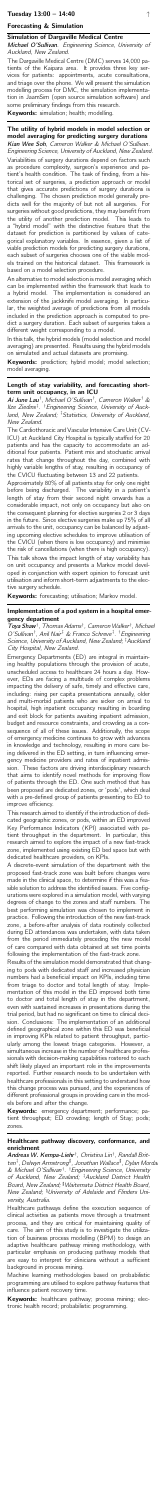## Forecasting & Simulation

## <span id="page-3-0"></span>Simulation of Dargaville Medical Centre

Michael O'Sullivan. Engineering Science, University of Auckland, New Zealand.

The Dargaville Medical Centre (DMC) serves 14,000 patients of the Kaipara area. It provides three key services for patients: appointments, acute consultations, and triage over the phone. We will present the simulation modelling process for DMC, the simulation implementation in JaamSim (open source simulation software) and some preliminary findings from this research.

Keywords: simulation; health; modelling.

<span id="page-3-1"></span>The utility of hybrid models in model selection or model averaging for predicting surgery durations Kian Wee Soh, Cameron Walker & Michael O'Sullivan. Engineering Science, University of Auckland, New Zealand.

Keywords: prediction; hybrid model; model selection; model averaging.

Variabilities of surgery durations depend on factors such as procedure complexity, surgeon's experience and patient's health condition. The task of finding, from a historical set of surgeries, a prediction approach or model that gives accurate predictions of surgery durations is challenging. The chosen prediction model generally predicts well for the majority of but not all surgeries. For surgeries without good predictions, they may benefit from the utility of another prediction model. This leads to a "hybrid model" with the distinctive feature that the dataset for prediction is partitioned by values of categorical explanatory variables. In essence, given a list of viable prediction models for predicting surgery durations, each subset of surgeries chooses one of the viable models trained on the historical dataset. This framework is based on a model selection procedure.

Ai June Lau<sup>†</sup>, Michael O'Sullivan<sup>†</sup>, Cameron Walker<sup>†</sup> & Ilze Ziedins<sup>‡</sup>. <sup>†</sup> Engineering Science, University of Auckland, New Zealand; ‡Statistics, University of Auckland, New Zealand.

An alternative to model selection is model averaging which can be implemented within the framework that leads to a hybrid model. The implementation is considered an extension of the jackknife model averaging. In particular, the weighted average of predictions from all models included in the prediction approach is computed to predict a surgery duration. Each subset of surgeries takes a different weight corresponding to a model.

Toya Shaw<sup>†</sup>, Thomas Adams<sup>†</sup>, Cameron Walker<sup>†</sup>, Michael O'Sullivan<sup>†</sup>, Anil Nair<sup>‡</sup> & Franco Schreve<sup>‡</sup>. <sup>†</sup> Engineering Science, University of Auckland, New Zealand; ‡Auckland City Hospital, New Zealand.

In this talk, the hybrid models (model selection and model averaging) are presented. Results using the hybrid models on simulated and actual datasets are promising.

## <span id="page-3-2"></span>Length of stay variability, and forecasting shortterm unit occupancy, in an ICU

The Cardiothoracic and Vascular Intensive Care Unit (CV-ICU) at Auckland City Hospital is typically staffed for 20 patients and has the capacity to accommodate an additional four patients. Patient mix and stochastic arrival rates that change throughout the day, combined with highly variable lengths of stay, resulting in occupancy of the CVICU fluctuating between 13 and 22 patients.

Approximately 80% of all patients stay for only one night before being discharged. The variability in a patient's length of stay from their second night onwards has a considerable impact, not only on occupancy but also on the consequent planning for elective surgeries 2 or 3 days in the future. Since elective surgeries make up 75% of all arrivals to the unit, occupancy can be balanced by adjusting upcoming elective schedules to improve utilisation of the CVICU (when there is low occupancy) and minimise the risk of cancellations (when there is high occupancy).

This talk shows the impact length of stay variability has on unit occupancy and presents a Markov model developed in conjunction with expert opinion to forecast unit utilisation and inform short-term adjustments to the elective surgery schedule.

Keywords: forecasting; utilisation; Markov model.

Keywords: emergency department; performance; patient throughput; ED crowding; length of Stay; pods; zones.

## <span id="page-3-3"></span>Implementation of a pod system in a hospital emergency department

Andreas W. Kempa-Liehr<sup>†</sup>, Christina Lin<sup>†</sup>, Randall Britten<sup>‡</sup>, Delwyn Armstrong<sup>#</sup>, Jonathan Wallace<sup>#</sup>, Dylan Morda & Michael O'Sullivan † . †Engineering Science, University of Auckland, New Zealand; ‡Auckland District Health Board, New Zealand; <sup>#</sup>Waitemata District Health Board, New Zealand; <sup>q</sup>University of Adelaide and Flinders University, Australia.

Keywords: healthcare pathway; process mining; electronic health record; probabilistic programming.

Emergency Departments (ED) are integral in maintaining healthy populations through the provision of acute, unscheduled access to healthcare 24 hours a day. However, EDs are facing a multitude of complex problems impacting the delivery of safe, timely and effective care, including: rising per capita presentations annually, older and multi-morbid patients who are sicker on arrival to hospital, high inpatient occupancy resulting in boarding and exit block for patients awaiting inpatient admission, budget and resource constraints, and crowding as a consequence of all of these issues. Additionally, the scope of emergency medicine continues to grow with advances in knowledge and technology, resulting in more care being delivered in the ED setting, in turn influencing emergency medicine providers and rates of inpatient admission. These factors are driving interdisciplinary research that aims to identify novel methods for improving flow of patients through the ED. One such method that has been proposed are dedicated zones, or 'pods', which deal with a pre-defined group of patients presenting to ED to improve efficiency. This research aimed to identify if the introduction of dedicated geographic zones, or pods, within an ED improved Key Performance Indicators (KPI) associated with patient throughput in the department. In particular, this research aimed to explore the impact of a new fast-track zone, implemented using existing ED bed space but with dedicated healthcare providers, on KPIs. A discrete-event simulation of the department with the proposed fast-track zone was built before changes were made in the clinical space, to determine if this was a feasible solution to address the identified issues. Five configurations were explored in a simulation model, with varying degrees of change to the zones and staff numbers. The best performing simulation was chosen to implement in practice. Following the introduction of the new fast-track zone, a before-after analysis of data routinely collected during ED attendances was undertaken, with data taken from the period immediately preceding the new model of care compared with data obtained at set time points following the implementation of the fast-track zone. Results of the simulation model demonstrated that changing to pods with dedicated staff and increased physician numbers had a beneficial impact on KPIs, including time from triage to doctor and total length of stay. Implementation of this model in the ED improved both time to doctor and total length of stay in the department, even with sustained increases in presentations during the trial period, but had no significant on time to clinical decision. Conclusions: The implementation of an additional defined geographical zone within this ED was beneficial in improving KPIs related to patient throughput, particularly among the lowest triage categories. However, a simultaneous increase in the number of healthcare professionals with decision-making capabilities rostered to each shift likely played an important role in the improvements reported. Further research needs to be undertaken with healthcare professionals in this setting to understand how this change process was pursued, and the experiences of different professional groups in providing care in the models before and after the change.

## <span id="page-3-4"></span>Healthcare pathway discovery, conformance, and enrichment

Healthcare pathways define the execution sequence of clinical activities as patients move through a treatment process, and they are critical for maintaining quality of care. The aim of this study is to investigate the utilization of business process modelling (BPM) to design an adaptive healthcare pathway mining methodology, with particular emphasis on producing pathway models that are easy to interpret for clinicians without a sufficient background in process mining.

Machine learning methodologies based on probabilistic programming are utilised to explore pathway features that influence patient recovery time.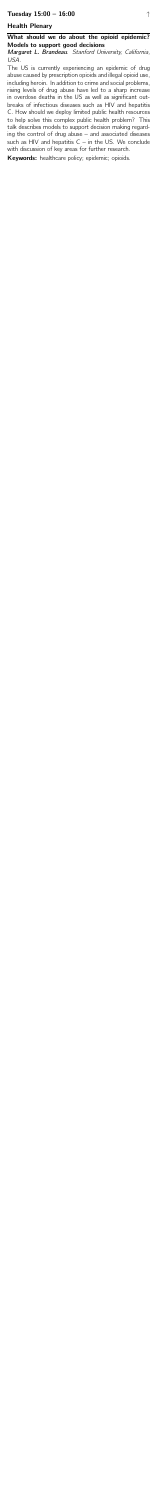## Tuesday  $15:00 - 16:00$

## Health Plenary

## <span id="page-4-0"></span>What should we do about the opioid epidemic? Models to support good decisions

#### Margaret L. Brandeau. Stanford University, California, USA.

The US is currently experiencing an epidemic of drug abuse caused by prescription opioids and illegal opioid use, including heroin. In addition to crime and social problems, rising levels of drug abuse have led to a sharp increase in overdose deaths in the US as well as significant outbreaks of infectious diseases such as HIV and hepatitis C. How should we deploy limited public health resources to help solve this complex public health problem? This talk describes models to support decision making regarding the control of drug abuse  $-$  and associated diseases such as HIV and hepatitis  $C - in$  the US. We conclude with discussion of key areas for further research.

Keywords: healthcare policy; epidemic; opioids.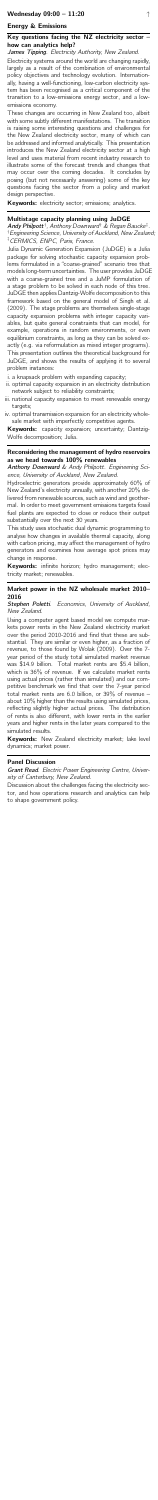## Wednesday  $09:00 - 11:20$  [↑](#page-0-0)

## Energy & Emissions

## <span id="page-5-0"></span>Key questions facing the NZ electricity sector – how can analytics help?

James Tipping. Electricity Authority, New Zealand.

Electricity systems around the world are changing rapidly, largely as a result of the combination of environmental policy objectives and technology evolution. Internationally, having a well-functioning, low-carbon electricity system has been recognised as a critical component of the transition to a low-emissions energy sector, and a lowemissions economy.

Andy Philpott<sup>†</sup>, Anthony Downward<sup>†</sup> & Regan Baucke<sup>‡</sup>. †Engineering Science, University of Auckland, New Zealand;

These changes are occurring in New Zealand too, albeit with some subtly different manifestations. The transition is raising some interesting questions and challenges for the New Zealand electricity sector, many of which can be addressed and informed analytically. This presentation introduces the New Zealand electricity sector at a high level and uses material from recent industry research to illustrate some of the forecast trends and changes that may occur over the coming decades. It concludes by posing (but not necessarily answering) some of the key questions facing the sector from a policy and market design perspective.

Keywords: electricity sector; emissions; analytics.

# <span id="page-5-1"></span>Multistage capacity planning using JuDGE

Keywords: capacity expansion; uncertainty; Dantzig-Wolfe decomposition; Julia.

## ‡CERMICS, ENPC, Paris, France.

Keywords: infinite horizon; hydro management; electricity market; renewables.

## Stephen Poletti. Economics, University of Auckland, New Zealand.

Julia Dynamic Generation Expansion (JuDGE) is a Julia package for solving stochastic capacity expansion problems formulated in a "coarse-grained" scenario tree that models long-term uncertainties. The user provides JuDGE with a coarse-grained tree and a JuMP formulation of a stage problem to be solved in each node of this tree. JuDGE then applies Dantzig-Wolfe decomposition to this framework based on the general model of Singh et al. (2009). The stage problems are themselves single-stage capacity expansion problems with integer capacity variables, but quite general constraints that can model, for example, operations in random environments, or even equilibrium constraints, as long as they can be solved exactly (e.g. via reformulation as mixed integer programs). This presentation outlines the theoretical background for JuDGE, and shows the results of applying it to several problem instances:

**Keywords:** New Zealand electricity market; lake level dynamics; market power.

- i. a knapsack problem with expanding capacity;
- ii. optimal capacity expansion in an electricity distribution network subject to reliability constraints;
- iii. national capacity expansion to meet renewable energy targets;
- iv. optimal transmission expansion for an electricity wholesale market with imperfectly competitive agents.

## <span id="page-5-2"></span>Reconsidering the management of hydro reservoirs as we head towards 100% renewables

Anthony Downward & Andy Philpott. Engineering Science, University of Auckland, New Zealand.

Hydroelectric generators provide approximately 60% of New Zealand's electricity annually, with another 20% delivered from renewable sources, such as wind and geothermal. In order to meet government emissions targets fossil fuel plants are expected to close or reduce their output substantially over the next 30 years.

This study uses stochastic dual dynamic programming to analyse how changes in available thermal capacity, along with carbon pricing, may affect the management of hydro generators and examines how average spot prices may change in response.

## <span id="page-5-3"></span>Market power in the NZ wholesale market 2010– 2016

Using a computer agent based model we compute markets power rents in the New Zealand electricity market over the period 2010-2016 and find that these are substantial. They are similar or even higher, as a fraction of revenue, to those found by Wolak (2009). Over the 7 year period of the study total simulated market revenue was \$14.9 billion. Total market rents are \$5.4 billion, which is 36% of revenue. If we calculate market rents using actual prices (rather than simulated) and our competitive benchmark we find that over the 7-year period total market rents are 6.0 billion, or 39% of revenue – about 10% higher than the results using simulated prices, reflecting slightly higher actual prices. The distribution of rents is also different, with lower rents in the earlier years and higher rents in the later years compared to the simulated results.

### <span id="page-5-4"></span>Panel Discussion

Grant Read. Electric Power Engineering Centre, University of Canterbury, New Zealand.

Discussion about the challenges facing the electricity sector, and how operations research and analytics can help to shape government policy.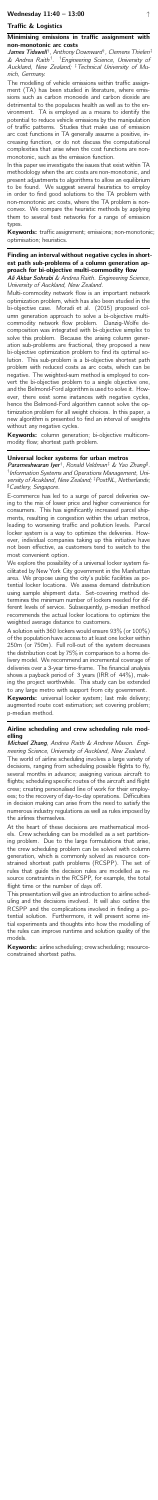## Traffic & Logistics

#### <span id="page-6-0"></span>Minimising emissions in traffic assignment with non-monotonic arc costs

James Tidswell<sup>†</sup>, Anthony Downward<sup>†</sup>, Clemens Thielen<sup>‡</sup> & Andrea Raith<sup>†</sup>. <sup>†</sup>Engineering Science, University of Auckland, New Zealand; <sup>‡</sup> Technical University of Munich, Germany.

The modelling of vehicle emissions within traffic assignment (TA) has been studied in literature, where emissions such as carbon monoxide and carbon dioxide are detrimental to the populaces health as well as to the environment. TA is employed as a means to identify the potential to reduce vehicle emissions by the manipulation of traffic patterns. Studies that make use of emission arc cost functions in TA generally assume a positive, increasing function, or do not discuss the computational complexities that arise when the cost functions are nonmonotonic, such as the emission function.

Keywords: traffic assignment; emissions; non-monotonic; optimisation; heuristics.

Ali Akbar Sohrabi & Andrea Raith. Engineering Science, University of Auckland, New Zealand.

Multi-commodity network flow is an important network optimization problem, which has also been studied in the bi-objective case. Moradi et al. (2015) proposed column generation approach to solve a bi-objective multicommodity network flow problem. Danzig-Wolfe decomposition was integrated with bi-objective simplex to solve this problem. Because the arising column generation sub-problems are fractional, they proposed a new bi-objective optimization problem to find its optimal solution. This sub-problem is a bi-objective shortest path problem with reduced costs as arc costs, which can be negative. The weighted-sum method is employed to convert the bi-objective problem to a single objective one, and the Belmond-Ford algorithm is used to solve it. However, there exist some instances with negative cycles, hence the Belmond-Ford algorithm cannot solve the optimization problem for all weight choices. In this paper, a new algorithm is presented to find an interval of weights without any negative cycles.

In this paper we investigate the issues that exist within TA methodology when the arc costs are non-monotonic, and present adjustments to algorithms to allow an equilibrium to be found. We suggest several heuristics to employ in order to find good solutions to the TA problem with non-monotonic arc costs, where the TA problem is nonconvex. We compare the heuristic methods by applying them to several test networks for a range of emission types.

Keywords: column generation; bi-objective multicommodity flow; shortest path problem.

### <span id="page-6-1"></span>Finding an interval without negative cycles in shortest path sub-problems of a column generation approach for bi-objective multi-commodity flow

We explore the possibility of a universal locker system facilitated by New York City government in the Manhattan area. We propose using the city's public facilities as potential locker locations. We assess demand distribution using sample shipment data. Set-covering method determines the minimum number of lockers needed for different levels of service. Subsequently, p-median method recommends the actual locker locations to optimize the weighted average distance to customers.

Keywords: universal locker system; last mile delivery; augmented route cost estimation; set covering problem; p-median method.

Michael Zhang, Andrea Raith & Andrew Mason. Engineering Science, University of Auckland, New Zealand.

At the heart of these decisions are mathematical models. Crew scheduling can be modelled as a set partitioning problem. Due to the large formulations that arise, the crew scheduling problem can be solved with column generation, which is commonly solved as resource constrained shortest path problems (RCSPP). The set of rules that guide the decision rules are modelled as resource constraints in the RCSPP, for example, the total flight time or the number of days off.

### <span id="page-6-2"></span>Universal locker systems for urban metros

Parameshwaran lyer<sup>†</sup>, Ronald Veldman<sup>‡</sup> & Yao Zhang<sup>#</sup>. † Information Systems and Operations Management, University of Acukland, New Zealand; <sup>‡</sup> PostNL, Netherlands;

#### <sup>#</sup> Castlery, Singapore.

Keywords: airline scheduling; crew scheduling; resourceconstrained shortest paths.

E-commerce has led to a surge of parcel deliveries owing to the mix of lower price and higher convenience for consumers. This has significantly increased parcel shipments, resulting in congestion within the urban metros, leading to worsening traffic and pollution levels. Parcel locker system is a way to optimize the deliveries. However, individual companies taking up this initiative have not been effective, as customers tend to switch to the most convenient option.

A solution with 360 lockers would ensure 93% (or 100%) of the population have access to at least one locker within 250m (or 750m). Full roll-out of the system decreases the distribution cost by 75% in comparison to a home delivery model. We recommend an incremental coverage of deliveries over a 3-year time-frame. The financial analysis shows a payback period of 3 years (IRR of 44%), making the project worthwhile. This study can be extended to any large metro with support from city government.

## <span id="page-6-3"></span>Airline scheduling and crew scheduling rule modelling

The world of airline scheduling involves a large variety of decisions, ranging from scheduling possible flights to fly, several months in advance; assigning various aircraft to flights; scheduling specific routes of the aircraft and flight crew; creating personalised line of work for their employees; to the recovery of day-to-day operations. Difficulties in decision making can arise from the need to satisfy the numerous industry regulations as well as rules imposed by the airlines themselves.

This presentation will give an introduction to airline scheduling and the decisions involved. It will also outline the RCSPP and the complications involved in finding a potential solution. Furthermore, it will present some initial experiments and thoughts into how the modelling of the rules can improve runtime and solution quality of the models.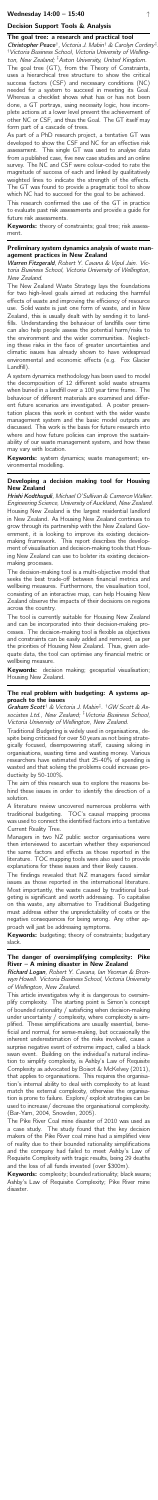## Decision Support Tools & Analysis

#### <span id="page-7-0"></span>The goal tree: a research and practical tool

Christopher Peace<sup>†</sup>, Victoria J. Mabin<sup>†</sup> & Carolyn Cordery<sup>‡</sup> †Victoria Business School, Victoria University of Wellington, New Zealand; ‡Aston University, United Kingdom.

The goal tree (GT), from the Theory of Constraints, uses a hierarchical tree structure to show the critical success factors (CSF) and necessary conditions (NC) needed for a system to succeed in meeting its Goal. Whereas a checklist shows what has or has not been done, a GT portrays, using necessity logic, how incomplete actions at a lower level prevent the achievement of other NC or CSF, and thus the Goal. The GT itself may form part of a cascade of trees.

Keywords: theory of constraints; goal tree; risk assessment.

Warren Fitzgerald, Robert Y. Cavana & Vipul Jain. Victoria Business School, Victoria University of Wellington, New Zealand.

As part of a PhD research project, a tentative GT was developed to show the CSF and NC for an effective risk assessment. This single GT was used to analyse data from a published case, five new case studies and an online survey. The NC and CSF were colour-coded to rate the magnitude of success of each and linked by qualitatively weighted lines to indicate the strength of the effects. The GT was found to provide a pragmatic tool to show which NC had to succeed for the goal to be achieved.

This research confirmed the use of the GT in practice to evaluate past risk assessments and provide a guide for future risk assessments.

Keywords: system dynamics; waste management; environmental modelling.

## <span id="page-7-1"></span>Preliminary system dynamics analysis of waste management practices in New Zealand

Hrishi Kodthuguli, Michael O'Sullivan & Cameron Walker. Engineering Science, University of Auckland, New Zealand. Housing New Zealand is the largest residential landlord in New Zealand. As Housing New Zealand continues to grow through its partnership with the New Zealand Government, it is looking to improve its existing decisionmaking framework. This report describes the development of visualisation and decision-making tools that Housing New Zealand can use to bolster its existing decisionmaking processes.

Keywords: decision making; geospatial visualisation; Housing New Zealand.

Graham Scott<sup>†</sup> & Victoria J. Mabin<sup>‡</sup>. <sup>†</sup>GW Scott & Associates Ltd., New Zealand; <sup>‡</sup> Victoria Business School, Victoria University of Wellington, New Zealand.

The New Zealand Waste Strategy lays the foundations for two high-level goals aimed at reducing the harmful effects of waste and improving the efficiency of resource use. Solid waste is just one form of waste, and in New Zealand, this is usually dealt with by sending it to landfills. Understanding the behaviour of landfills over time can also help people assess the potential harm/risks to the environment and the wider communities. Neglecting these risks in the face of greater uncertainties and climatic issues has already shown to have widespread environmental and economic effects (e.g. Fox Glacier Landfill). A system dynamics methodology has been used to model the decomposition of 12 different solid waste streams when buried in a landfill over a 100 year time frame. The behaviour of different materials are examined and different future scenarios are investigated. A poster presentation places this work in context with the wider waste management system and the basic model outputs are discussed. This work is the basis for future research into where and how future policies can improve the sustainability of our waste management system, and how these may vary with location.

## <span id="page-7-2"></span>Developing a decision making tool for Housing New Zealand

Keywords: budgeting; theory of constraints; budgetary slack.

Keywords: complexity; bounded rationality; black swans; Ashby's Law of Requisite Complexity; Pike River mine disaster.

The decision-making tool is a multi-objective model that seeks the best trade-off between financial metrics and wellbeing measures. Furthermore, the visualisation tool, consisting of an interactive map, can help Housing New Zealand observe the impacts of their decisions on regions across the country. The tool is currently suitable for Housing New Zealand and can be incorporated into their decision-making processes. The decision-making tool is flexible as objectives and constraints can be easily added and removed, as per the priorities of Housing New Zealand. Thus, given adequate data, the tool can optimise any financial metric or wellbeing measure.

### <span id="page-7-3"></span>The real problem with budgeting: A systems approach to the issues

Traditional Budgeting is widely used in organisations, despite being criticised for over 50 years as not being strategically focused, disempowering staff, causing siloing in organisations, wasting time and wasting money. Various researchers have estimated that 25-40% of spending is wasted and that solving the problems could increase productivity by 50-100%.

The aim of this research was to explore the reasons behind these issues in order to identify the direction of a solution.

A literature review uncovered numerous problems with traditional budgeting. TOC's causal mapping process was used to connect the identified factors into a tentative Current Reality Tree.

Managers in two NZ public sector organisations were then interviewed to ascertain whether they experienced the same factors and effects as those reported in the literature. TOC mapping tools were also used to provide explanations for these issues and their likely causes.

The findings revealed that NZ managers faced similar issues as those reported in the international literature. Most importantly, the waste caused by traditional budgeting is significant and worth addressing. To capitalise on this waste, any alternative to Traditional Budgeting must address either the unpredictability of costs or the negative consequences for being wrong. Any other approach will just be addressing symptoms.

## <span id="page-7-4"></span>The danger of oversimplifying complexity: Pike River – A mining disaster in New Zealand

Richard Logan, Robert Y. Cavana, Ian Yeoman & Bronwyn Howell. Victoria Business School, Victoria University of Wellington, New Zealand.

This article investigates why it is dangerous to oversimplify complexity. The starting point is Simon's concept of bounded rationality / satisficing when decision-making under uncertainty / complexity, where complexity is simplified. These simplifications are usually essential, beneficial and normal, for sense-making, but occasionally the inherent underestimation of the risks involved, cause a surprise negative event of extreme impact, called a black swan event. Building on the individual's natural inclination to simplify complexity, is Ashby's Law of Requisite Complexity as advocated by Boisot & McKelvey (2011), that applies to organisations. This requires the organisation's internal ability to deal with complexity to at least match the external complexity, otherwise the organisation is prone to failure. Explore/ exploit strategies can be used to increase/ decrease the organisational complexity. (Bar-Yam, 2004, Snowden, 2005).

The Pike River Coal mine disaster of 2010 was used as a case study. The study found that the key decision makers of the Pike River coal mine had a simplified view of reality due to their bounded rationality simplifications and the company had failed to meet Ashby's Law of Requisite Complexity with tragic results, being 29 deaths and the loss of all funds invested (over \$300m).